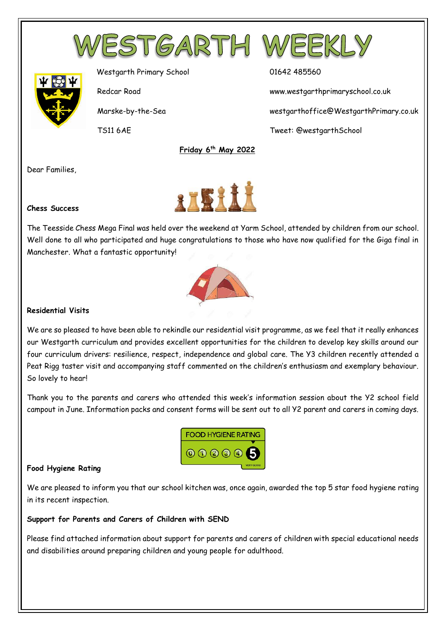



Westgarth Primary School 01642 485560

Redcar Road www.westgarthprimaryschool.co.uk

Marske-by-the-Sea westgarthoffice@WestgarthPrimary.co.uk

TS11 6AE Tweet: @westgarthSchool

Dear Families,



 **Friday 6th May 2022**

#### **Chess Success**

The Teesside Chess Mega Final was held over the weekend at Yarm School, attended by children from our school. Well done to all who participated and huge congratulations to those who have now qualified for the Giga final in Manchester. What a fantastic opportunity!



#### **Residential Visits**

We are so pleased to have been able to rekindle our residential visit programme, as we feel that it really enhances our Westgarth curriculum and provides excellent opportunities for the children to develop key skills around our four curriculum drivers: resilience, respect, independence and global care. The Y3 children recently attended a Peat Rigg taster visit and accompanying staff commented on the children's enthusiasm and exemplary behaviour. So lovely to hear!

Thank you to the parents and carers who attended this week's information session about the Y2 school field campout in June. Information packs and consent forms will be sent out to all Y2 parent and carers in coming days.



#### **Food Hygiene Rating**

We are pleased to inform you that our school kitchen was, once again, awarded the top 5 star food hygiene rating in its recent inspection.

#### **Support for Parents and Carers of Children with SEND**

Please find attached information about support for parents and carers of children with special educational needs and disabilities around preparing children and young people for adulthood.